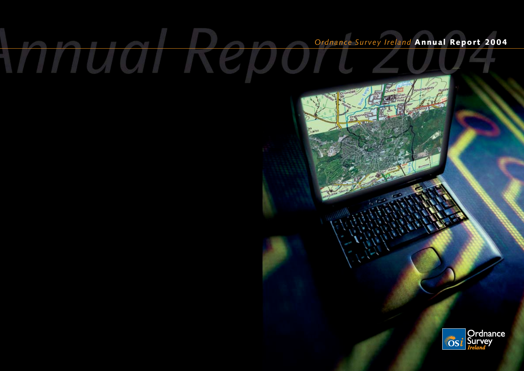TU OTT

# *Ordnance Survey Ireland* Annual Report 2004

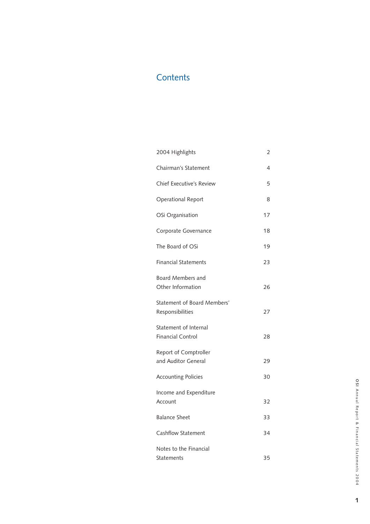## **Contents**

| 2004 Highlights                                   | 2  |
|---------------------------------------------------|----|
| Chairman's Statement                              | 4  |
| <b>Chief Executive's Review</b>                   | 5  |
| Operational Report                                | 8  |
| OSi Organisation                                  | 17 |
| Corporate Governance                              | 18 |
| The Board of OSi                                  | 19 |
| <b>Financial Statements</b>                       | 23 |
| Board Members and<br>Other Information            | 26 |
| Statement of Board Members'<br>Responsibilities   | 27 |
| Statement of Internal<br><b>Financial Control</b> | 28 |
| Report of Comptroller<br>and Auditor General      | 29 |
| <b>Accounting Policies</b>                        | 30 |
| Income and Expenditure<br>Account                 | 32 |
| <b>Balance Sheet</b>                              | 33 |
| Cashflow Statement                                | 34 |
| Notes to the Financial<br>Statements              | 35 |

**1**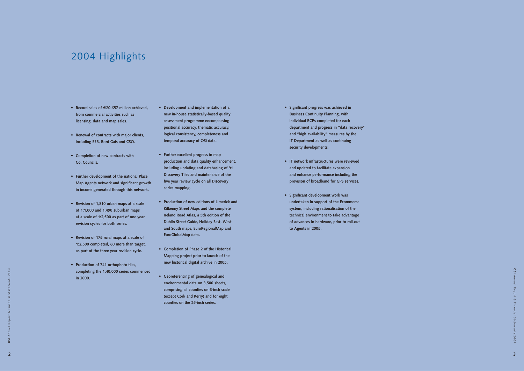# 2004 Highlights

- **• Record sales of €20.657 million achieved, from commercial activities such as licensing, data and map sales.**
- **• Renewal of contracts with major clients, including ESB, Bord Gais and CSO.**
- **• Completion of new contracts with Co. Councils.**
- **• Further development of the national Place Map Agents network and significant growth in income generated through this network.**
- **• Revision of 1,810 urban maps at a scale of 1:1,000 and 1,490 suburban maps at a scale of 1:2,500 as part of one year revision cycles for both series.**
- **• Revision of 175 rural maps at a scale of 1:2,500 completed, 60 more than target, as part of the three year revision cycle.**
- **• Production of 741 orthophoto tiles, completing the 1:40,000 series commenced in 2000.**
- **• Development and implementation of a new in-house statistically-based quality assessment programme encompassing positional accuracy, thematic accuracy, logical consistency, completeness and temporal accuracy of OSi data.**
- **• Further excellent progress in map production and data quality enhancement, including updating and databasing of 91 Discovery Tiles and maintenance of the five year review cycle on all Discovery series mapping.**
- **• Production of new editions of Limerick and Kilkenny Street Maps and the complete Ireland Road Atlas, a 5th edition of the Dublin Street Guide, Holiday East, West and South maps, EuroRegionalMap and EuroGlobalMap data.**
- **• Completion of Phase 2 of the Historical Mapping project prior to launch of the new historical digital archive in 2005.**
- **• Georeferencing of genealogical and environmental data on 3,500 sheets, comprising all counties on 6-inch scale (except Cork and Kerry) and for eight counties on the 25-inch series.**
- **• Significant progress was achieved in Business Continuity Planning, with individual BCPs completed for each department and progress in "data recovery" and "high availability" measures by the IT Department as well as continuing security developments.**
- **• IT network infrastructures were reviewed and updated to facilitate expansion and enhance performance including the provision of broadband for GPS services.**
- **• Significant development work was undertaken in support of the Ecommerce system, including rationalisation of the technical environment to take advantage of advances in hardware, prior to roll-out to Agents in 2005.**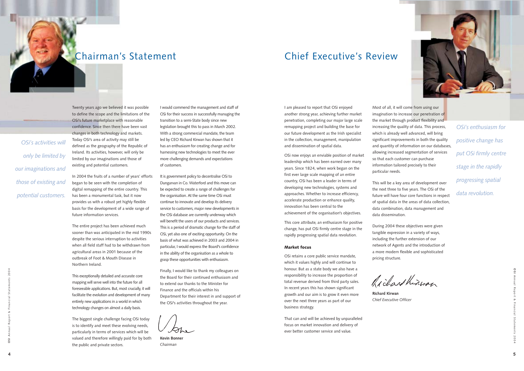## Chairman's Statement Chief Executive's Review

I am pleased to report that OSi enjoyed another strong year, achieving further market penetration, completing our major large scale remapping project and building the base for our future development as the Irish specialist in the collection, management, manipulation and dissemination of spatial data.

OSi now enjoys an enviable position of market leadership which has been earned over many years. Since 1824, when work began on the first ever large scale mapping of an entire country, OSi has been a leader in terms of developing new technologies, systems and approaches. Whether to increase efficiency, accelerate production or enhance quality, innovation has been central to the achievement of the organisation's objectives.

This core attribute, an enthusiasm for positive change, has put OSi firmly centre stage in the rapidly progressing spatial data revolution.

#### Market focus

OSi retains a core public service mandate, which it values highly and will continue to honour. But as a state body we also have a responsibility to increase the proportion of total revenue derived from third party sales. In recent years this has shown significant growth and our aim is to grow it even more over the next three years as part of our business strategy.

That can and will be achieved by unparalleled focus on market innovation and delivery of ever better customer service and value.

Most of all, it will come from using our imagination to increase our penetration of the market through product flexibility and increasing the quality of data. This process, which is already well advanced, will bring significant improvements in both the quality and quantity of information on our databases, allowing increased segmentation of services so that each customer can purchase information tailored precisely to their

particular needs.

This will be a key area of development over the next three to five years. The OSi of the future will have four core functions in respect of spatial data in the areas of data collection, data combination, data management and data dissemination.

During 2004 these objectives were given tangible expression in a variety of ways, including the further extension of our network of Agents and the introduction of a more modern flexible and sophisticated pricing structure.

Richard Kinwan

**Richard Kirwan** *Chief Executive Officer*

**4**



Twenty years ago we believed it was possible to define the scope and the limitations of the OSi's future marketplace with reasonable confidence. Since then there have been vast changes in both technology and markets. Today OSi's area of activity may still be defined as the geography of the Republic of Ireland. Its activities, however, will only be limited by our imaginations and those of existing and potential customers.

In 2004 the fruits of a number of years' efforts began to be seen with the completion of digital remapping of the entire country. This has been a monumental task, but it now provides us with a robust yet highly flexible basis for the development of a wide range of future information services.

The entire project has been achieved much sooner than was anticipated in the mid 1990s despite the serious interruption to activities when all field staff had to be withdrawn from agricultural areas in 2001 because of the outbreak of Foot & Mouth Disease in Northern Ireland.

This exceptionally detailed and accurate core mapping will serve well into the future for all foreseeable applications. But, most crucially, it will facilitate the evolution and development of many entirely new applications in a world in which technology changes on almost a daily basis.

The biggest single challenge facing OSi today is to identify and meet these evolving needs, particularly in terms of services which will be valued and therefore willingly paid for by both the public and private sectors.

I would commend the management and staff of OSi for their success in successfully managing the transition to a semi-State body since new legislation brought this to pass in March 2002. With a strong commercial mandate, the team led by CEO Richard Kirwan has shown that it has an enthusiasm for creating change and for harnessing new technologies to meet the ever more challenging demands and expectations of customers.

It is government policy to decentralise OSi to Dungarvan in Co. Waterford and this move can be expected to create a range of challenges for the organisation. At the same time OSi must continue to innovate and develop its delivery service to customers, major new developments in the OSi database are currently underway which will benefit the users of our products and services. This is a period of dramatic change for the staff of OSi, yet also one of exciting opportunity. On the basis of what was achieved in 2003 and 2004 in particular, I would express the Board's confidence in the ability of the organisation as a whole to grasp these opportunities with enthusiasm.

Finally, I would like to thank my colleagues on the Board for their continued enthusiasm and to extend our thanks to the Minister for Finance and the officials within his Department for their interest in and support of the OSi's activities throughout the year.

**Kevin Bonner** *Chairman*

*OSi's enthusiasm for positive change has put OSi firmly centre stage in the rapidly progressing spatial data revolution.*

*OSi's activities will only be limited by our imaginations and those of existing and potential customers.*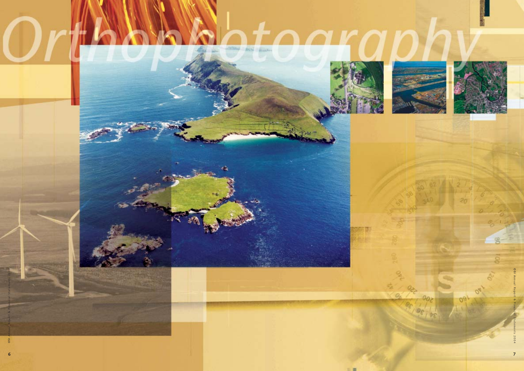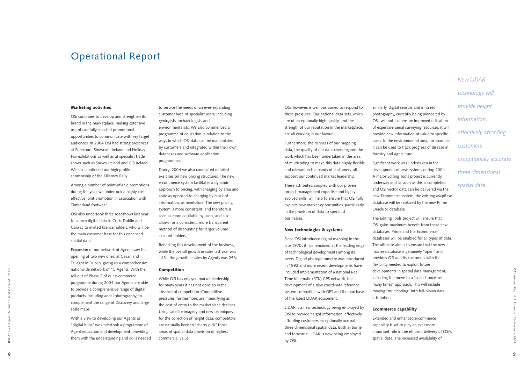OSi, however, is well positioned to respond to these pressures. Our national data sets, which are of exceptionally high quality, and the strength of our reputation in the marketplace, are all working in our favour.

Furthermore, the richness of our mapping data, the quality of our data checking and the work which has been undertaken in the area of multicoding to make this data highly flexible and relevant in the hands of customers, all support our continued market leadership.

These attributes, coupled with our proven project management expertise and highly evolved skills, will help to ensure that OSi fully exploits new market opportunities, particularly in the provision of data to specialist businesses.

#### New technologies & systems

Since OSi introduced digital mapping in the late 1970s it has remained at the leading edge of technological developments among its peers. Digital photogrammetry was introduced in 1992 and more recent developments have included implementation of a national Real Time Kinematic (RTK) GPS network, the development of a new coordinate reference system compatible with GPS and the purchase of the latest LIDAR equipment.

LIDAR is a new technology being employed by OSi to provide height information, effectively affording customers exceptionally accurate three dimensional spatial data. Both airborne and terrestrial LIDAR is now being employed by OSi.

Similarly, digital sensors and infra red photography, currently being pioneered by OSi, will not just ensure improved utilisation of expensive aerial surveying resources, it will provide new information of value to specific users. In the environmental area, for example, it can be used to track progress of disease in forestry and agriculture.

Significant work was undertaken in the development of new systems during 2004. A major Editing Tools project is currently underway and as soon as this is completed and OSi vector data can be delivered via the new Ecommerce system, the existing MapBase database will be replaced by the new Prime

Oracle 9i database.

The Editing Tools project will ensure that OSi gains maximum benefit from these new databases. Prime and the Ecommerce databases will be enabled for all types of data. The ultimate aim is to ensure that the new master database is genuinely "open" and provides OSi and its customers with the flexibility needed to exploit future developments in spatial data management, including the move to a "collect once, use many times" approach. This will include moving "multicoding" into full-blown data attribution.

## Ecommerce capability

Extended and enhanced e-commerce capability is set to play an ever more important role in the efficient delivery of OSi's spatial data. The increased availability of

**OSI** Annual Report & Financial Statements 2004

2004

 $\overline{0}$ 

#### Marketing activities

OSi continues to develop and strengthen its brand in the marketplace, making extensive use of carefully selected promotional opportunities to communicate with key target audiences. In 2004 OSi had strong presences at Forecourt, Showcase Ireland and Holiday Fair exhibitions as well as at specialist trade shows such as Survey Ireland and GIS Ireland. We also continued our high profile sponsorship of the Killarney Rally.

Among a number of point-of-sale promotions during the year, we undertook a highly costeffective joint promotion in association with Timberland footwear.

OSi also undertook three roadshows last year to launch digital data in Cork, Dublin and Galway to invited licence holders, who will be the main customer base for this enhanced spatial data.

Expansion of our network of Agents saw the opening of two new ones, at Cavan and Tallaght in Dublin, giving us a comprehensive nationwide network of 15 Agents. With the roll out of Phase 2 of our e-commerce programme during 2004 our Agents are able to provide a comprehensive range of digital products, including aerial photography, to complement the range of Discovery and large scale maps.

With a view to developing our Agents as "digital hubs" we undertook a programme of Agent education and development, providing them with the understanding and skills needed to service the needs of an ever-expanding customer base of specialist users, including geologists, archaeologists and environmentalists. We also commenced a programme of education in relation to the ways in which OSi data can be manipulated by customers and integrated within their own databases and software application programmes.

During 2004 we also conducted detailed exercises on new pricing structures. The new e-commerce system facilitates a dynamic approach to pricing, with charging by area and scale as opposed to charging by block of information, as heretofore. The new pricing system is more consistent, and therefore is seen as more equitable by users, and also allows for a consistent, more transparent method of discounting for larger volume account holders.

Reflecting this development of the business, while the overall growth in sales last year was 14%, the growth in sales by Agents was 25%.

#### Competition

While OSi has enjoyed market leadership for many years it has not done so in the absence of competition. Competitive pressures, furthermore, are intensifying as the cost of entry to the marketplace declines. Using satellite imagery and new techniques for the collection of height data, competitors are naturally keen to "cherry pick" those areas of spatial data provision of highest commercial value.

*New LIDAR technology will provide height information, effectively affording customers exceptionally accurate three dimensional spatial data.*

## Operational Report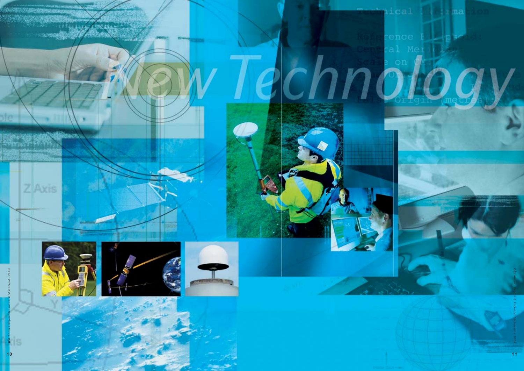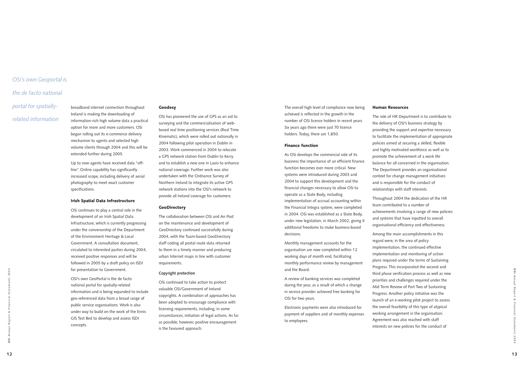The overall high level of compliance now being achieved is reflected in the growth in the number of OSi licence holders in recent years. Six years ago there were just 70 licence holders. Today, there are 1,850.

#### Finance function

As OSi develops the commercial side of its business the importance of an efficient finance function becomes ever more critical. New systems were introduced during 2003 and 2004 to support this development and the financial changes necessary to allow OSi to operate as a State Body, including implementation of accrual accounting within the Financial Integra system, were completed in 2004. OSi was established as a State Body, under new legislation, in March 2002, giving it additional freedoms to make business-based

decisions.

Monthly management accounts for the organisation are now completed within 12 working days of month end, facilitating monthly performance review by management and the Board.

A review of banking services was completed during the year, as a result of which a change in service provider achieved free banking for OSi for two years.

Electronic payments were also introduced for payment of suppliers and of monthly expenses to employees.

#### Human Resources

The role of HR Department is to contribute to the delivery of OSi's business strategy by providing the support and expertise necessary to facilitate the implementation of appropriate policies aimed at securing a skilled, flexible and highly motivated workforce as well as to promote the achievement of a work life balance for all concerned in the organisation. The Department provides an organisational context for change management initiatives and is responsible for the conduct of relationships with staff interests.

Throughout 2004 the dedication of the HR team contributed to a number of achievements involving a range of new policies and systems that have inputted to overall organisational efficiency and effectiveness.

Among the main accomplishments in this regard were, in the area of policy implementation, the continued effective implementation and monitoring of action plans required under the terms of Sustaining Progress. This incorporated the second and third phase verification process as well as new priorities and challenges required under the Mid Term Review of Part Two of Sustaining Progress. Another policy initiative was the launch of an e-working pilot project to assess the overall feasibility of this type of atypical working arrangement in the organisation. Agreement was also reached with staff interests on new policies for the conduct of

**OSI** Annual Report & Financial Statements 2004

2004

 $\overline{0}$ 

broadband internet connection throughout Ireland is making the downloading of information-rich high volume data a practical option for more and more customers. OSi began rolling out its e-commerce delivery mechanism to agents and selected high volume clients through 2004 and this will be extended further during 2005.

Up to now agents have received data "offline". Online capability has significantly increased scope, including delivery of aerial photography to meet exact customer specifications.

#### Irish Spatial Data Infrastructure

OSi continues to play a central role in the development of an Irish Spatial Data Infrastructure, which is currently progressing under the convenorship of the Department of the Environment Heritage & Local Government. A consultation document, circulated to interested parties during 2004, received positive responses and will be followed in 2005 by a draft policy on ISDI for presentation to Government.

OSi's own GeoPortal is the de facto national portal for spatially-related information and is being expanded to include geo-referenced data from a broad range of public service organisations. Work is also under way to build on the work of the Ennis GIS Test Bed to develop and assess ISDI concepts.

#### **Geodesv**

OSi has pioneered the use of GPS as an aid to surveying and the commercialisation of webbased real time positioning services (Real Time Kinematic), which were rolled out nationally in 2004 following pilot operation in Dublin in 2003. Work commenced in 2004 to relocate a GPS network station from Dublin to Kerry and to establish a new one in Laois to enhance national coverage. Further work was also undertaken with the Ordnance Survey of Northern Ireland to integrate its active GPS network stations into the OSi's network to provide all Ireland coverage for customers.

#### **GeoDirectory**

The collaboration between OSi and An Post on the maintenance and development of GeoDirectory continued successfully during 2004, with the Tuam-based GeoDirectory staff coding all postal route data returned to them in a timely manner and producing urban Internet maps in line with customer requirements.

#### **Copyright protection**

OSi continued to take action to protect valuable OSi/Government of Ireland copyrights. A combination of approaches has been adopted to encourage compliance with licensing requirements, including, in some circumstances, initiation of legal actions. As far as possible, however, positive encouragement is the favoured approach.

## *OSi's own Geoportal is*

## *the de facto national*

*portal for spatiallyrelated information*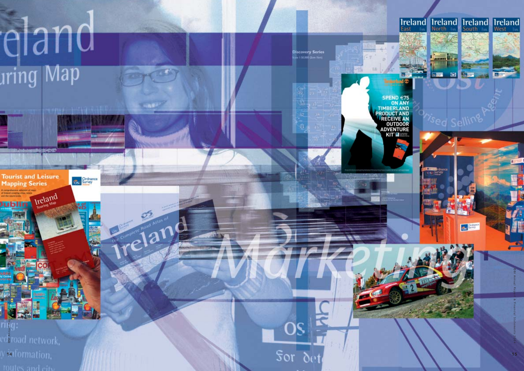# eland aring Map

téatra

Ordnance

**HARP** 

reland

**Discovery Series**<br>Sale 1:0000 (low thm)

 $OS$ 

 $Sor$   $\delta$ 

TITO LA

**Tourist and Leisure Mapping Series** Ireland

Jublin

**Traff** 



**OSI** Annual Report & Financial Statements 2004  $\mathbb{T} \mathbb{E} \mathbb{C}$ dåroad network. v<sub>141</sub> formation, routes and city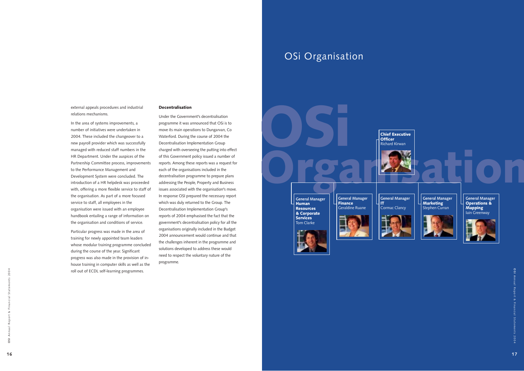OSi

Human Resources & Corporate Services Tom Clarke

**Officer** 

**General Manager General Manager** Finance Geraldine Ruane





external appeals procedures and industrial relations mechanisms.

In the area of systems improvements, a number of initiatives were undertaken in 2004. These included the changeover to a new payroll provider which was successfully managed with reduced staff numbers in the HR Department. Under the auspices of the Partnership Committee process, improvements to the Performance Management and Development System were concluded. The introduction of a HR helpdesk was proceeded with, offering a more flexible service to staff of the organisation. As part of a more focused service to staff, all employees in the organisation were issued with an employee handbook entailing a range of information on the organisation and conditions of service.

Particular progress was made in the area of training for newly appointed team leaders whose modular training programme concluded during the course of the year. Significant progress was also made in the provision of inhouse training in computer skills as well as the roll out of ECDL self-learning programmes.

#### **Decentralisation**

Under the Government's decentralisation programme it was announced that OSi is to move its main operations to Dungarvan, Co Waterford. During the course of 2004 the Decentralisation Implementation Group charged with overseeing the putting into effect of this Government policy issued a number of reports. Among these reports was a request for each of the organisations included in the decentralisation programme to prepare plans addressing the People, Property and Business issues associated with the organisation's move. In response OSI prepared the necessary report which was duly returned to the Group. The Decentralisation Implementation Group's reports of 2004 emphasised the fact that the government's decentralisation policy for all the organisations originally included in the Budget 2004 announcement would continue and that the challenges inherent in the programme and solutions developed to address these would need to respect the voluntary nature of the programme.

## OSi Organisation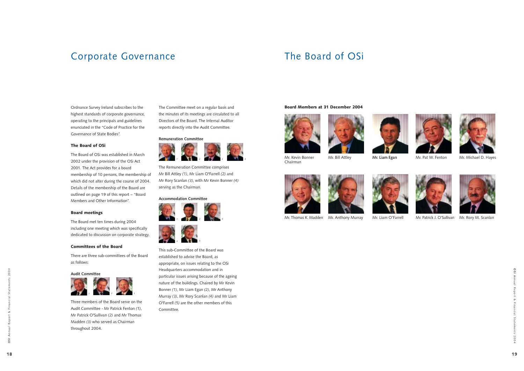2004













Mr. Bill Attley **Mr. Liam Egan** Mr. Pat W. Fenton Mr. Michael D. Hayes







# Corporate Governance The Board of OSi

Ordnance Survey Ireland subscribes to the highest standards of corporate governance, operating to the principals and guidelines enunciated in the "Code of Practice for the Governance of State Bodies".

#### The Board of OSi

The Board of OSi was established in March 2002 under the provision of the OSi Act 2001. The Act provides for a board membership of 10 persons, the membership of which did not alter during the course of 2004. Details of the membership of the Board are outlined on page 19 of this report – "Board Members and Other Information".

#### Board meetings

The Board met ten times during 2004 including one meeting which was specifically dedicated to discussion on corporate strategy.

#### Committees of the Board

There are three sub-committees of the Board as follows:

**Audit Committee**

Three members of the Board serve on the Audit Committee - Mr Patrick Fenton *(1)*, Mr Patrick O'Sullivan *(2)* and Mr Thomas Madden *(3)* who served as Chairman throughout 2004.

The Committee meet on a regular basis and the minutes of its meetings are circulated to all Directors of the Board. The Internal Auditor reports directly into the Audit Committee.

### **Remuneration Committee**

The Remuneration Committee comprises Mr Bill Attley *(1)*, Mr Liam O'Farrell *(2)* and Mr Rory Scanlan *(3)*, with Mr Kevin Bonner *(4)* serving as the Chairman.

#### **Accommodation Committee**

This sub-Committee of the Board was established to advise the Board, as appropriate, on issues relating to the OSi Headquarters accommodation and in particular issues arising because of the ageing nature of the buildings. Chaired by Mr Kevin Bonner *(1)*, Mr Liam Egan *(2)*, Mr Anthony Murray *(3)*, Mr Rory Scanlan *(4)* and Mr Liam O'Farrell *(5)* are the other members of this Committee.









#### Board Members at 31 December 2004





Mr. Kevin Bonner Chairman





Mr. Thomas K. Madden Mr. Anthony Murray Mr. Liam O'Farrell Mr. Patrick J. O'Sullivan Mr. Rory M. Scanlan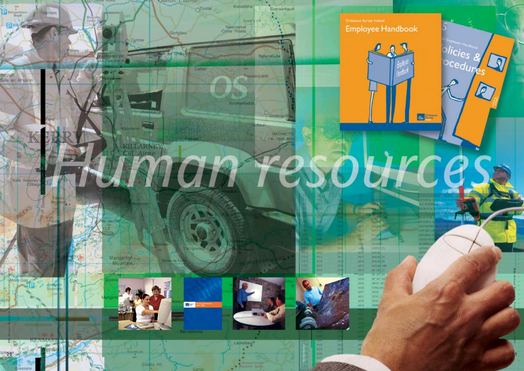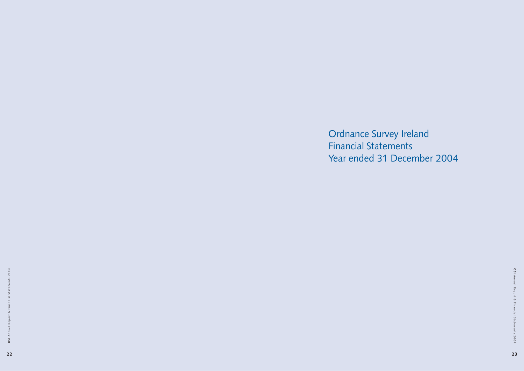Ordnance Survey Ireland Financial Statements Year ended 31 December 2004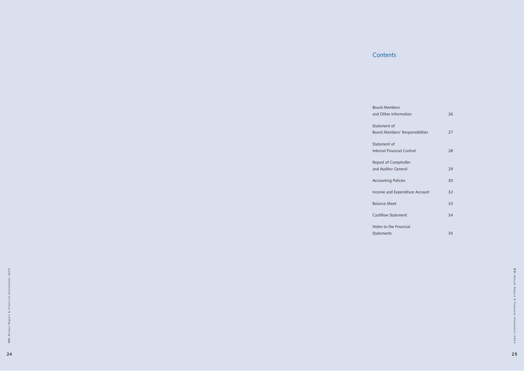and Other Information 26 Board Members' Responsibilities 27 Internal Financial Control 28 and Auditor General 29 Accounting Policies 30 Income and Expenditure Account 32 Balance Sheet 33 Cashflow Statement 34 Statements 35

## **Contents**

Board Members

Statement of

Statement of

Report of Comptroller

Notes to the Financial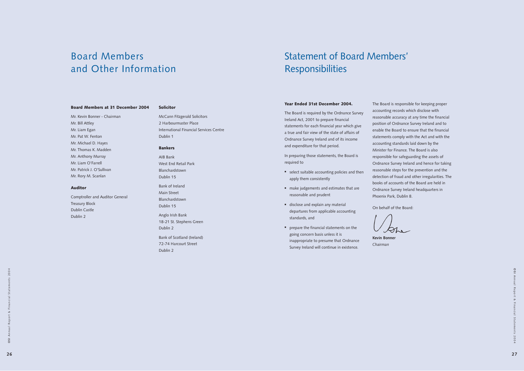#### Board Members at 31 December 2004

Mr. Kevin Bonner - Chairman Mr. Bill Attley Mr. Liam Egan Mr. Pat W. Fenton Mr. Michael D. Hayes Mr. Thomas K. Madden Mr. Anthony Murray Mr. Liam O'Farrell Mr. Patrick J. O'Sullivan Mr. Rory M. Scanlan

#### Auditor

Comptroller and Auditor General Treasury Block Dublin Castle Dublin 2

#### Solicitor

McCann Fitzgerald Solicitors 2 Harbourmaster Place International Financial Services Centre Dublin 1

#### Bankers

AIB Bank West End Retail Park Blanchardstown Dublin 15

Bank of Ireland Main Street Blanchardstown Dublin 15

Anglo Irish Bank 18-21 St. Stephens Green Dublin 2

Bank of Scotland (Ireland) 72-74 Harcourt Street Dublin 2

- select suitable accounting policies and then apply them consistently
- make judgements and estimates that are reasonable and prudent
- disclose and explain any material departures from applicable accounting standards, and
- prepare the financial statements on the going concern basis unless it is inappropriate to presume that Ordnance Survey Ireland will continue in existence.

# Board Members and Other Information

#### Year Ended 31st December 2004.

The Board is required by the Ordnance Survey Ireland Act, 2001 to prepare financial statements for each financial year which give a true and fair view of the state of affairs of Ordnance Survey Ireland and of its income and expenditure for that period.

In preparing those statements, the Board is required to

The Board is responsible for keeping proper accounting records which disclose with reasonable accuracy at any time the financial position of Ordnance Survey Ireland and to enable the Board to ensure that the financial statements comply with the Act and with the accounting standards laid down by the Minister for Finance. The Board is also responsible for safeguarding the assets of Ordnance Survey Ireland and hence for taking reasonable steps for the prevention and the detection of fraud and other irregularities. The books of accounts of the Board are held in Ordnance Survey Ireland headquarters in

Phoenix Park, Dublin 8.

On behalf of the Board:



**Kevin Bonner** *Chairman*

# Statement of Board Members' Responsibilities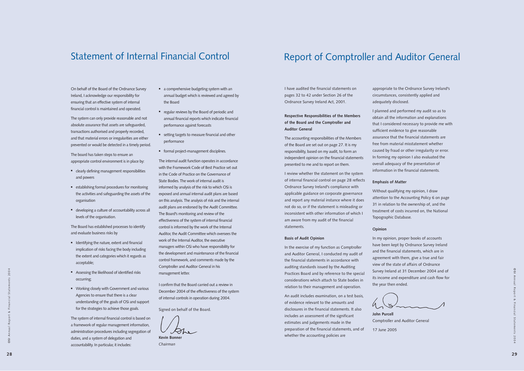# Report of Comptroller and Auditor General

**OSI** Annual Report & Financial Statements 2004

 $\overline{0}$ 

## Statement of Internal Financial Control

On behalf of the Board of the Ordnance Survey Ireland, I acknowledge our responsibility for ensuring that an effective system of internal financial control is maintained and operated.

The system can only provide reasonable and not absolute assurance that assets are safeguarded, transactions authorised and properly recorded, and that material errors or irregularities are either prevented or would be detected in a timely period.

The board has taken steps to ensure an appropriate control environment is in place by:

- **I** Identifying the nature, extent and financial implication of risks facing the body including the extent and categories which it regards as acceptable;
- **Assessing the likelihood of identified risks** occurring;
- **Working closely with Government and various** Agencies to ensure that there is a clear understanding of the goals of OSi and support for the strategies to achieve those goals.
- clearly defining management responsibilities and powers
- establishing formal procedures for monitoring the activities and safeguarding the assets of the organisation
- developing a culture of accountability across all levels of the organisation.

The Board has established processes to identify and evaluate business risks by

The system of internal financial control is based on a framework of regular management information, administration procedures including segregation of duties, and a system of delegation and accountability. In particular, it includes:

- a comprehensive budgeting system with an annual budget which is reviewed and agreed by the Board
- **•** regular reviews by the Board of periodic and annual financial reports which indicate financial performance against forecasts
- setting targets to measure financial and other performance
- **formal project-management disciplines.**

The internal audit function operates in accordance with the Framework Code of Best Practice set out in the Code of Practice on the Governance of State Bodies. The work of internal audit is informed by analysis of the risk to which OSi is exposed and annual internal audit plans are based on this analysis. The analysis of risk and the internal audit plans are endorsed by the Audit Committee. The Board's monitoring and review of the effectiveness of the system of internal financial control is informed by the work of the Internal Auditor, the Audit Committee which oversees the work of the Internal Auditor, the executive managers within OSi who have responsibility for the development and maintenance of the financial control framework, and comments made by the Comptroller and Auditor General in his management letter.

I confirm that the Board carried out a review in December 2004 of the effectiveness of the system of internal controls in operation during 2004.

Signed on behalf of the Board.

**Kevin Bonner** *Chairman*

I have audited the financial statements on pages 32 to 42 under Section 26 of the Ordnance Survey Ireland Act, 2001.

**Respective Responsibilities of the Members of the Board and the Comptroller and Auditor General**

The accounting responsibilities of the Members of the Board are set out on page 27. It is my responsibility, based on my audit, to form an independent opinion on the financial statements presented to me and to report on them.

I review whether the statement on the system of internal financial control on page 28 reflects Ordnance Survey Ireland's compliance with applicable guidance on corporate governance and report any material instance where it does not do so, or if the statement is misleading or inconsistent with other information of which I am aware from my audit of the financial statements.

#### **Basis of Audit Opinion**

In the exercise of my function as Comptroller and Auditor General, I conducted my audit of the financial statements in accordance with auditing standards issued by the Auditing Practices Board and by reference to the special considerations which attach to State bodies in relation to their management and operation.

An audit includes examination, on a test basis, of evidence relevant to the amounts and disclosures in the financial statements. It also includes an assessment of the significant estimates and judgements made in the preparation of the financial statements, and of whether the accounting policies are

appropriate to the Ordnance Survey Ireland's circumstances, consistently applied and adequately disclosed.

I planned and performed my audit so as to obtain all the information and explanations that I considered necessary to provide me with sufficient evidence to give reasonable assurance that the financial statements are free from material misstatement whether caused by fraud or other irregularity or error. In forming my opinion I also evaluated the overall adequacy of the presentation of information in the financial statements.

## **Emphasis of Matter**

Without qualifying my opinion, I draw attention to the Accounting Policy 6 on page 31 in relation to the ownership of, and the treatment of costs incurred on, the National Topographic Database.

#### **Opinion**

In my opinion, proper books of accounts have been kept by Ordnance Survey Ireland and the financial statements, which are in agreement with them, give a true and fair view of the state of affairs of Ordnance Survey Ireland at 31 December 2004 and of its income and expenditure and cash flow for the year then ended.

| N |  |
|---|--|
|   |  |

**John Purcell** 17 June 2005

Comptroller and Auditor General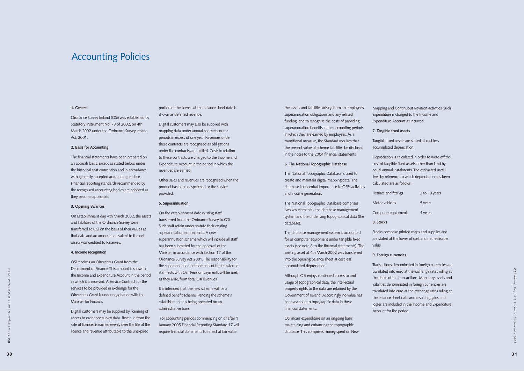## Accounting Policies

 $2004$ 

#### **1. General**

Ordnance Survey Ireland (OSi) was established by Statutory Instrument No. 73 of 2002, on 4th March 2002 under the Ordnance Survey Ireland Act, 2001.

#### **2. Basis for Accounting**

The financial statements have been prepared on an accruals basis, except as stated below, under the historical cost convention and in accordance with generally accepted accounting practice. Financial reporting standards recommended by the recognised accounting bodies are adopted as they become applicable.

#### **3. Opening Balances**

On Establishment day, 4th March 2002, the assets and liabilities of the Ordnance Survey were transferred to OSi on the basis of their values at that date and an amount equivalent to the net assets was credited to Reserves.

#### **4. Income recognition**

OSi receives an Oireachtas Grant from the Department of Finance. This amount is shown in the Income and Expenditure Account in the period in which it is received. A Service Contract for the services to be provided in exchange for the Oireachtas Grant is under negotiation with the Minister for Finance.

Digital customers may be supplied by licensing of access to ordnance survey data. Revenue from the sale of licences is earned evenly over the life of the licence and revenue attributable to the unexpired

portion of the licence at the balance sheet date is shown as deferred revenue.

Digital customers may also be supplied with mapping data under annual contracts or for periods in excess of one year. Revenues under these contracts are recognised as obligations under the contracts are fulfilled. Costs in relation to these contracts are charged to the Income and Expenditure Account in the period in which the revenues are earned.

Other sales and revenues are recognised when the product has been despatched or the service provided.

#### **5. Superannuation**

On the establishment date existing staff transferred from the Ordnance Survey to OSi. Such staff retain under statute their existing superannuation entitlements. A new superannuation scheme which will include all staff has been submitted for the approval of the Minister, in accordance with Section 17 of the Ordnance Survey Act 2001. The responsibility for the superannuation entitlements of the transferred staff rests with OSi. Pension payments will be met, as they arise, from total Osi revenues.

It is intended that the new scheme will be a defined benefit scheme. Pending the scheme's establishment it is being operated on an administrative basis.

For accounting periods commencing on or after 1 January 2005 Financial Reporting Standard 17 will require financial statements to reflect at fair value

the assets and liabilities arising from an employer's superannuation obligations and any related funding, and to recognise the costs of providing superannuation benefits in the accounting periods in which they are earned by employees. As a transitional measure, the Standard requires that the present value of scheme liabilities be disclosed

in the notes to the 2004 financial statements.

#### **6. The National Topographic Database**

The National Topographic Database is used to create and maintain digital mapping data. The database is of central importance to OSi's activities and income generation.

The National Topographic Database comprises two key elements - the database management system and the underlying topographical data (the database).

The database management system is accounted for as computer equipment under tangible fixed assets (see note 8 to the financial statements). The existing asset at 4th March 2002 was transferred into the opening balance sheet at cost less accumulated depreciation.

Although OSi enjoys continued access to and usage of topographical data, the intellectual property rights to the data are retained by the Government of Ireland. Accordingly, no value has been ascribed to topographic data in these financial statements.

OSi incurs expenditure on an ongoing basis maintaining and enhancing the topographic database. This comprises money spent on New

Mapping and Continuous Revision activities. Such expenditure is charged to the Income and Expenditure Account as incurred.

| tings  | 3 to 10 years |
|--------|---------------|
|        | 5 years       |
| ipment | 4 years       |

**7. Tangible fixed assets** 

Tangible fixed assets are stated at cost less accumulated depreciation.

Depreciation is calculated in order to write off the cost of tangible fixed assets other than land by equal annual instalments. The estimated useful lives by reference to which depreciation has been calculated are as follows:

Fixtures and fitt

Motor vehicles

Computer equ

**8. Stocks**

Stocks comprise printed maps and supplies and are stated at the lower of cost and net realisable

value.

## **9. Foreign currencies**

Transactions denominated in foreign currencies are translated into euro at the exchange rates ruling at the dates of the transactions. Monetary assets and liabilities denominated in foreign currencies are translated into euro at the exchange rates ruling at the balance sheet date and resulting gains and losses are included in the Income and Expenditure Account for the period.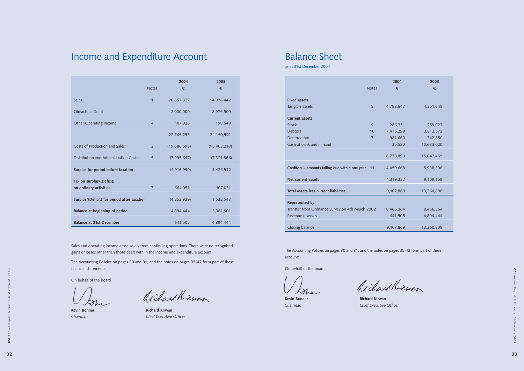|                                                 | <b>Notes</b>   | 2004<br>€ | 2003<br>€  |
|-------------------------------------------------|----------------|-----------|------------|
| <b>Fixed assets</b>                             |                |           |            |
| Tangible assets                                 | 8              | 4,788,647 | 4,251,649  |
| <b>Current assets</b>                           |                |           |            |
| <b>Stock</b>                                    | 9              | 286,351   | 259,023    |
| <b>Debtors</b>                                  | 10             | 7,475,299 | 3,812,572  |
| Deferred tax                                    | $\overline{7}$ | 981,660   | 342,850    |
| Cash at bank and in hand                        |                | 35,580    | 10,633,020 |
|                                                 |                | 8,778,890 | 15,047,465 |
| Creditors - amounts falling due within one year | 11             | 4,459,668 | 5,938,306  |
| Net current assets                              |                | 4,319,222 | 9,109,159  |
| Total assets less current liabilities           |                | 9,107,869 | 13,360,808 |
| Represented by:                                 |                |           |            |
| Transfer from Ordnance Survey on 4th March 2002 |                | 8,466,364 | 8,466,364  |
| Revenue reserves                                |                | 641,505   | 4,894,444  |
| Closing balance                                 |                | 9,107,869 | 13,360,808 |

The Accounting Policies on pages 30 and 31, and the notes on pages 35-42 form part of these accounts.

On behalf of the board

Richard Kinwan

**Kevin Bonner Richard Kirwan** *Chairman Chief Executive Officer*

**OSI** Annual Report & Financial Statements 2004  $\overline{a}$ State 2004

# Income and Expenditure Account Balance Sheet

|                                                    | <b>Notes</b>   | 2004<br>€     | 2003<br>€      |
|----------------------------------------------------|----------------|---------------|----------------|
| <b>Sales</b>                                       | 1              | 20,657,327    | 14,976,442     |
| Oireachtas Grant                                   |                | 2,000,000     | 8,975,500      |
| Other Operating Income                             | $\overline{4}$ | 107,926       | 198,649        |
|                                                    |                | 22,765,253    | 24,150,591     |
| Costs of Production and Sales                      | $\overline{2}$ | (19,686,596)  | (15, 403, 213) |
| Distribution and Administration Costs              | 5              | (7,995,647)   | (7, 321, 866)  |
| Surplus for period before taxation                 |                | (4,916,990)   | 1,425,512      |
| Tax on surplus/(Deficit)<br>on ordinary activities | $\overline{7}$ | 664,051       | 107,031        |
| Surplus/(Deficit) for period after taxation        |                | (4, 252, 939) | 1,532,543      |
| Balance at beginning of period                     |                | 4,894,444     | 3,361,901      |
| <b>Balance at 31st December</b>                    |                | 641,505       | 4,894,444      |

Sales and operating income arose solely from continuing operations. There were no recognised gains or losses other than those dealt with in the income and expenditure account.

The Accounting Policies on pages 30 and 31, and the notes on pages 35-42 form part of these financial statements.

On behalf of the board

Richard Kinwan

**Kevin Bonner Richard Kirwan** *Chairman Chief Executive Officer*

as at 31st December 2004

**32**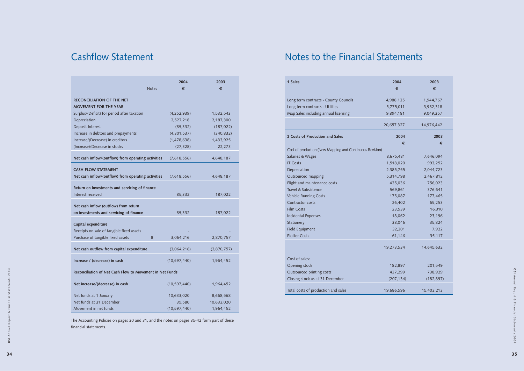| 1 Sales                                                  | 2004       | 2003       |
|----------------------------------------------------------|------------|------------|
|                                                          | €          | €          |
| Long term contracts - County Councils                    | 4,988,135  | 1,944,767  |
| Long term contracts - Utilities                          | 5,775,011  | 3,982,318  |
| Map Sales including annual licensing                     | 9,894,181  | 9,049,357  |
|                                                          | 20,657,327 | 14,976,442 |
| 2 Costs of Production and Sales                          | 2004       | 2003       |
|                                                          | €          | €          |
| Cost of production (New Mapping and Continuous Revision) |            |            |
| Salaries & Wages                                         | 8,675,481  | 7,646,094  |
| <b>IT Costs</b>                                          | 1,518,020  | 993,252    |
| Depreciation                                             | 2,385,755  | 2,044,723  |
| Outsourced mapping                                       | 5,314,798  | 2,467,812  |
| Flight and maintenance costs                             | 435,036    | 756,023    |
| Travel & Subsistence                                     | 569,861    | 376,641    |
| Vehicle Running Costs                                    | 175,087    | 177,465    |
| Contractor costs                                         | 26,402     | 65,253     |
| <b>Film Costs</b>                                        | 23,539     | 16,310     |
| <b>Incidental Expenses</b>                               | 18,062     | 23,196     |
| Stationery                                               | 38,046     | 35,824     |
| Field Equipment                                          | 32,301     | 7,922      |
| <b>Plotter Costs</b>                                     | 61,146     | 35,117     |
|                                                          | 19,273,534 | 14,645,632 |
| Cost of sales:                                           |            |            |
| Opening stock                                            | 182,897    | 201,549    |
| Outsourced printing costs                                | 437,299    | 738,929    |
| Closing stock as at 31 December                          | (207, 134) | (182, 897) |
| Total costs of production and sales                      | 19,686,596 | 15,403,213 |

| 1 Sales                                                  | 2004<br>€  | 2003<br>€  |
|----------------------------------------------------------|------------|------------|
|                                                          |            |            |
| Long term contracts - County Councils                    | 4,988,135  | 1,944,767  |
| Long term contracts - Utilities                          | 5,775,011  | 3,982,318  |
| Map Sales including annual licensing                     | 9,894,181  | 9,049,357  |
|                                                          | 20,657,327 | 14,976,442 |
| 2 Costs of Production and Sales                          | 2004       | 2003       |
|                                                          | €          | €          |
| Cost of production (New Mapping and Continuous Revision) |            |            |
| Salaries & Wages                                         | 8,675,481  | 7,646,094  |
| <b>IT Costs</b>                                          | 1,518,020  | 993,252    |
| Depreciation                                             | 2,385,755  | 2,044,723  |
| Outsourced mapping                                       | 5,314,798  | 2,467,812  |
| Flight and maintenance costs                             | 435,036    | 756,023    |
| Travel & Subsistence                                     | 569,861    | 376,641    |
| Vehicle Running Costs                                    | 175,087    | 177,465    |
| Contractor costs                                         | 26,402     | 65,253     |
| <b>Film Costs</b>                                        | 23,539     | 16,310     |
| <b>Incidental Expenses</b>                               | 18,062     | 23,196     |
| Stationery                                               | 38,046     | 35,824     |
| Field Equipment                                          | 32,301     | 7,922      |
| <b>Plotter Costs</b>                                     | 61,146     | 35,117     |
|                                                          | 19,273,534 | 14,645,632 |
| Cost of sales:                                           |            |            |
| Opening stock                                            | 182,897    | 201,549    |
| Outsourced printing costs                                | 437,299    | 738,929    |
| Closing stock as at 31 December                          | (207, 134) | (182, 897) |
| Total costs of production and sales                      | 19,686,596 | 15,403,213 |

|                                                                                  | 2004                 | 2003                    |  |
|----------------------------------------------------------------------------------|----------------------|-------------------------|--|
| <b>Notes</b>                                                                     | €                    | €                       |  |
| <b>RECONCILIATION OF THE NET</b>                                                 |                      |                         |  |
| <b>MOVEMENT FOR THE YEAR</b>                                                     |                      |                         |  |
| Surplus/(Deficit) for period after taxation                                      | (4, 252, 939)        | 1,532,543               |  |
| Depreciation                                                                     | 2,527,218            | 2,187,300               |  |
| Deposit Interest                                                                 | (85, 332)            | (187, 022)              |  |
| Increase in debtors and prepayments                                              | (4,301,537)          | (340, 832)              |  |
| Increase/(Decrease) in creditors                                                 | (1,478,638)          | 1,433,925               |  |
| (Increase)/Decrease in stocks                                                    | (27, 328)            | 22,273                  |  |
| Net cash inflow/(outflow) from operating activities                              | (7,618,556)          | 4,648,187               |  |
| <b>CASH FLOW STATEMENT</b>                                                       |                      |                         |  |
| Net cash inflow/(outflow) from operating activities                              | (7,618,556)          | 4,648,187               |  |
| Return on investments and servicing of finance                                   |                      |                         |  |
| Interest received                                                                | 85,332               | 187,022                 |  |
|                                                                                  |                      |                         |  |
| Net cash inflow (outflow) from return<br>on investments and servicing of finance | 85,332               | 187,022                 |  |
|                                                                                  |                      |                         |  |
| Capital expenditure                                                              |                      |                         |  |
| Receipts on sale of tangible fixed assets                                        |                      |                         |  |
| Purchase of tangible fixed assets<br>8                                           | 3,064,216            | 2,870,757               |  |
| Net cash outflow from capital expenditure                                        | (3,064,216)          | (2,870,757)             |  |
| Increase / (decrease) in cash                                                    | (10, 597, 440)       | 1,964,452               |  |
| Reconciliation of Net Cash Flow to Movement in Net Funds                         |                      |                         |  |
| Net increase/(decrease) in cash                                                  | (10, 597, 440)       | 1,964,452               |  |
|                                                                                  |                      |                         |  |
| Net funds at 1 January<br>Net funds at 31 December                               | 10,633,020<br>35,580 | 8,668,568<br>10,633,020 |  |
| Movement in net funds                                                            | (10, 597, 440)       | 1,964,452               |  |

The Accounting Policies on pages 30 and 31, and the notes on pages 35-42 form part of these financial statements.

# Cashflow Statement **Cashflow Statement Notes to the Financial Statements**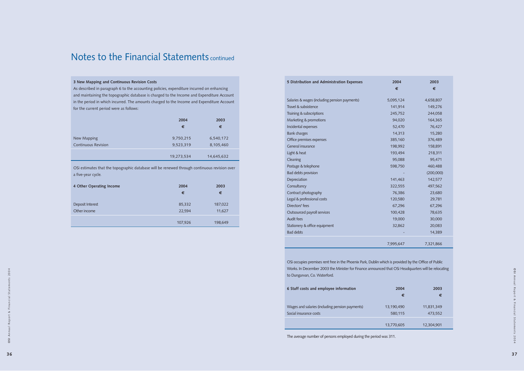| 5 Distribution and Administration Expenses    | 2004      | 2003      |
|-----------------------------------------------|-----------|-----------|
|                                               | €         | €         |
| Salaries & wages (including pension payments) | 5,095,124 | 4,658,807 |
| Travel & subsistence                          | 141,914   | 149,276   |
| Training & subscriptions                      | 245,752   | 244,058   |
| Marketing & promotions                        | 94,020    | 164,365   |
| Incidental expenses                           | 52,470    | 76,427    |
| <b>Bank charges</b>                           | 14,313    | 15,280    |
| Office premises expenses                      | 385,160   | 376,489   |
| General insurance                             | 198,992   | 158,891   |
| Light & heat                                  | 193,494   | 218,311   |
| Cleaning                                      | 95,088    | 95,471    |
| Postage & telephone                           | 598,750   | 460,488   |
| <b>Bad debts provision</b>                    |           | (200,000) |
| Depreciation                                  | 141,463   | 142,577   |
| Consultancy                                   | 322,555   | 497,562   |
| Contract photography                          | 76,386    | 23,680    |
| Legal & professional costs                    | 120,580   | 29,781    |
| Directors' fees                               | 67,296    | 67,296    |
| Outsourced payroll services                   | 100,428   | 78,635    |
| Audit fees                                    | 19,000    | 30,000    |
| Stationery & office equipment                 | 32,862    | 20,083    |
| <b>Bad debts</b>                              |           | 14,389    |
|                                               | 7,995,647 | 7,321,866 |
|                                               |           |           |

OSi occupies premises rent free in the Phoenix Park, Dublin which is provided by the Office of Public Works. In December 2003 the Minister for Finance announced that OSi Headquarters will be relocating to Dungarvan, Co. Waterford.

| 6 Staff costs and employee information                                    | 2004<br>€             | 2003<br>€             |
|---------------------------------------------------------------------------|-----------------------|-----------------------|
| Wages and salaries (including pension payments)<br>Social insurance costs | 13,190,490<br>580,115 | 11,831,349<br>473,552 |
|                                                                           | 13,770,605            | 12,304,901            |

The average number of persons employed during the period was 311.

#### **3 New Mapping and Continuous Revision Costs**

As described in paragraph 6 to the accounting policies, expenditure incurred on enhancing and maintaining the topographic database is charged to the Income and Expenditure Account in the period in which incurred. The amounts charged to the Income and Expenditure Account for the current period were as follows:

|                            | 2004       | 2003       |
|----------------------------|------------|------------|
|                            | €          | €          |
| New Mapping                | 9,750,215  | 6,540,172  |
| <b>Continuous Revision</b> | 9,523,319  | 8,105,460  |
|                            | 19,273,534 | 14,645,632 |

OSi estimates that the topographic database will be renewed through continuous revision over a five-year cycle.

| 4 Other Operating Income | 2004<br>€ | 2003<br>€ |
|--------------------------|-----------|-----------|
| Deposit Interest         | 85,332    | 187,022   |
| Other income             | 22,594    | 11,627    |
|                          | 107,926   | 198,649   |

## Notes to the Financial Statements continued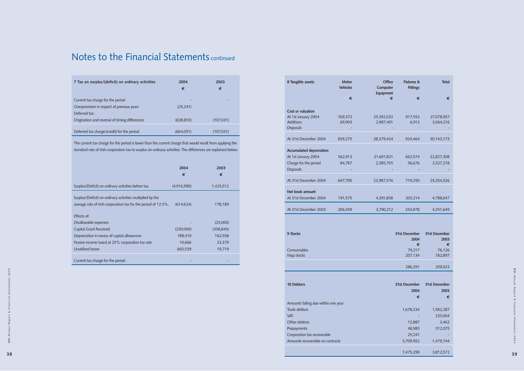| 7 Tax on surplus/(deficit) on ordinary activities | 2004<br>€  | 2003<br>€  |
|---------------------------------------------------|------------|------------|
| Current tax charge for the period                 |            |            |
| Overprovision in respect of previous years        | (25, 241)  |            |
| Deferred tax:                                     |            |            |
| Origination and reversal of timing differences    | (638, 810) | (107, 031) |
| Deferred tax charge/(credit) for the period       | (664,051)  | (107, 031) |

The current tax charge for the period is lower than the current charge that would result from applying the standard rate of Irish corporation tax to surplus on ordinary activities. The differences are explained below:

|                                                                                                                              | 2004<br>€         | 2003<br>€              |
|------------------------------------------------------------------------------------------------------------------------------|-------------------|------------------------|
| Surplus/(Deficit) on ordinary activities before tax                                                                          | (4,916,990)       | 1,425,512              |
| Surplus/(Deficit) on ordinary activities multiplied by the<br>average rate of Irish corporation tax for the period of 12.5%. | (614, 624)        | 178,189                |
| Effects of:<br>Disallowable expenses                                                                                         |                   |                        |
| Capital Grant Received                                                                                                       | (250,000)         | (25,000)<br>(358, 845) |
| Depreciation in excess of capital allowances                                                                                 | 188,419           | 162,558                |
| Passive income taxed at 25% corporation tax rate<br>Unutilised losses                                                        | 10,666<br>665,539 | 23,379<br>19,719       |
| Current tax charge for the period                                                                                            |                   |                        |

## Notes to the Financial Statements continued

| 8 Tangible assets                        | <b>Motor</b><br><b>Vehicles</b> | <b>Office</b><br>Computer<br>Equipment | <b>Fixtures &amp;</b><br><b>Fittings</b> | <b>Total</b>            |
|------------------------------------------|---------------------------------|----------------------------------------|------------------------------------------|-------------------------|
|                                          | €                               | €                                      | €                                        | €                       |
|                                          |                                 |                                        |                                          |                         |
| Cost or valuation                        |                                 |                                        |                                          |                         |
| At 1st January 2004<br><b>Additions</b>  | 769,372<br>69,903               | 25,392,033<br>2,987,401                | 917,552<br>6,912                         | 27,078,957<br>3,064,216 |
| <b>Disposals</b>                         |                                 |                                        |                                          |                         |
|                                          |                                 |                                        |                                          |                         |
| At 31st December 2004                    | 839,275                         | 28,379,434                             | 924,464                                  | 30,143,173              |
| <b>Accumulated depreciation</b>          |                                 |                                        |                                          |                         |
| At 1st January 2004                      | 562,913                         | 21,601,821                             | 662,574                                  | 22,827,308              |
| Charge for the period                    | 84,787                          | 2,385,755                              | 56,676                                   | 2,527,218               |
| <b>Disposals</b>                         |                                 |                                        |                                          |                         |
|                                          |                                 |                                        |                                          |                         |
| At 31st December 2004                    | 647,700                         | 23,987,576                             | 719,250                                  | 25,354,526              |
|                                          |                                 |                                        |                                          |                         |
| Net book amount<br>At 31st December 2004 |                                 |                                        |                                          |                         |
|                                          | 191,575                         | 4,391,858                              | 205,214                                  | 4,788,647               |
| At 31st December 2003                    | 206,459                         | 3,790,212                              | 254,978                                  | 4,251,649               |
|                                          |                                 |                                        |                                          |                         |
| 9 Stocks                                 |                                 |                                        | 31st December<br>2004                    | 31st December<br>2003   |
|                                          |                                 |                                        | €                                        | €                       |
| Consumables<br>Map stocks                |                                 |                                        | 79,217<br>207,134                        | 76,126<br>182,897       |
|                                          |                                 |                                        |                                          |                         |
|                                          |                                 |                                        | 286,351                                  | 259,023                 |
|                                          |                                 |                                        |                                          |                         |
| 10 Debtors                               |                                 |                                        | 31st December                            | 31st December           |
|                                          |                                 |                                        | 2004                                     | 2003                    |
|                                          |                                 |                                        | €                                        | €                       |
| Amounts falling due within one year:     |                                 |                                        |                                          |                         |
| Trade debtors                            |                                 |                                        | 1,678,234                                | 1,582,287               |
| <b>VAT</b>                               |                                 |                                        |                                          | 235,004                 |
| Other debtors                            |                                 |                                        | 12,887                                   | 3,462                   |
| Prepayments                              |                                 |                                        | 48,985                                   | 512,075                 |
| Corporation tax recoverable              |                                 |                                        | 25,241                                   |                         |
| Amounts recoverable on contracts         |                                 |                                        | 5,709.952                                | 1,479,744               |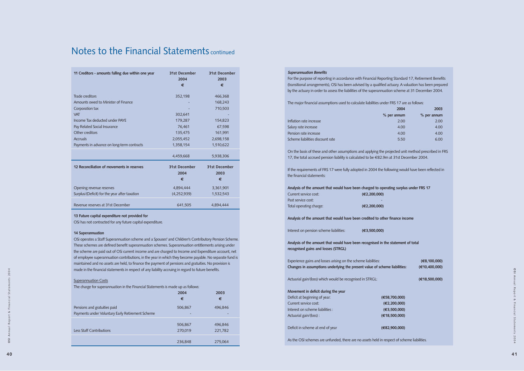| 11 Creditors - amounts falling due within one year | 31st December<br>2004<br>€ | 31st December<br>2003<br>€ |
|----------------------------------------------------|----------------------------|----------------------------|
|                                                    |                            |                            |
| Trade creditors                                    | 352,198                    | 466,368                    |
| Amounts owed to Minister of Finance                |                            | 168,243                    |
| Corporation tax                                    |                            | 710,503                    |
| <b>VAT</b>                                         | 302,641                    |                            |
| Income Tax deducted under PAYE                     | 179,287                    | 154,823                    |
| Pay Related Social Insurance                       | 76,461                     | 67,598                     |
| Other creditors                                    | 135,475                    | 161,991                    |
| <b>Accruals</b>                                    | 2,055,452                  | 2,698,158                  |
| Payments in advance on long-term contracts         | 1,358,154                  | 1,510,622                  |
|                                                    | 4,459,668                  | 5,938,306                  |
| 12 Reconciliation of movements in reserves         | 31st December              | 31st December              |
|                                                    | 2004                       | 2003                       |
|                                                    | €                          | €                          |
| Opening revenue reserves                           | 4,894,444                  | 3,361,901                  |
| Surplus/(Deficit) for the year after taxation      | (4, 252, 939)              | 1,532,543                  |
| Revenue reserves at 31st December                  | 641,505                    | 4,894,444                  |

#### **13 Future capital expenditure not provided for**

OSi has not contracted for any future capital expenditure.

#### **14 Superannuation**

OSi operates a Staff Superannuation scheme and a Spouses' and Children's Contributory Pension Scheme. These schemes are defined benefit superannuation schemes. Superannuation entitlements arising under the scheme are paid out of OSi current income and are charged to Income and Expenditure account, net of employee superannuation contributions, in the year in which they become payable. No separate fund is maintained and no assets are held, to finance the payment of pensions and gratuities. No provision is made in the financial statements in respect of any liability accruing in regard to future benefits.

## **Superannuation Costs**

The charge for superannuation in the Financial Statements is made up as follows:

|                                                                                  | 2004<br>€          | 2003<br>€          |
|----------------------------------------------------------------------------------|--------------------|--------------------|
| Pensions and gratuities paid<br>Payments under Voluntary Early Retirement Scheme | 506,867<br>۰       | 496,846            |
| <b>Less Staff Contributions</b>                                                  | 506,867<br>270,019 | 496,846<br>221,782 |
|                                                                                  | 236,848            | 275,064            |

# Notes to the Financial Statements continued

| <b>Superannuation Benefits</b>                                                                          |                     |                     |
|---------------------------------------------------------------------------------------------------------|---------------------|---------------------|
| For the purpose of reporting in accordance with Financial Reporting Standard 17, Retirement Benefits    |                     |                     |
| (transitional arrangements), OSi has been advised by a qualified actuary. A valuation has been prepared |                     |                     |
| by the actuary in order to assess the liabilities of the superannuation scheme at 31 December 2004.     |                     |                     |
|                                                                                                         |                     |                     |
| The major financial assumptions used to calculate liabilities under FRS 17 are as follows:              |                     | 2003                |
|                                                                                                         | 2004                |                     |
| Inflation rate increase                                                                                 | % per annum<br>2.00 | % per annum<br>2.00 |
| Salary rate increase                                                                                    | 4.00                | 4.00                |
| Pension rate increase                                                                                   | 4.00                | 4.00                |
| Scheme liabilities discount rate                                                                        | 5.50                | 6.00                |
|                                                                                                         |                     |                     |
| On the basis of these and other assumptions and applying the projected unit method prescribed in FRS    |                     |                     |
| 17, the total accrued pension liability is calculated to be €82.9m at 31st December 2004.               |                     |                     |
|                                                                                                         |                     |                     |
| If the requirements of FRS 17 were fully adopted in 2004 the following would have been reflected in     |                     |                     |
| the financial statements:                                                                               |                     |                     |
| Analysis of the amount that would have been charged to operating surplus under FRS 17                   |                     |                     |
| Current service cost:                                                                                   | (E2, 200, 000)      |                     |
| Past service cost:                                                                                      |                     |                     |
| Total operating charge:                                                                                 | (€2,200,000)        |                     |
|                                                                                                         |                     |                     |
| Analysis of the amount that would have been credited to other finance income                            |                     |                     |
|                                                                                                         |                     |                     |
| Interest on pension scheme liabilities:                                                                 | (E3,500,000)        |                     |
| Analysis of the amount that would have been recognised in the statement of total                        |                     |                     |
| recognised gains and losses (STRGL)                                                                     |                     |                     |
|                                                                                                         |                     |                     |
| Experience gains and losses arising on the scheme liabilities:                                          |                     | (E8, 100, 000)      |
| Changes in assumptions underlying the present value of scheme liabilities:                              |                     | (€10.400.000)       |
|                                                                                                         |                     |                     |
| Actuarial gain/(loss) which would be recognised in STRGL:                                               |                     | (E18,500,000)       |
|                                                                                                         |                     |                     |
| Movement in deficit during the year                                                                     |                     |                     |
| Deficit at beginning of year:                                                                           | (€58,700,000)       |                     |
| Current service cost:                                                                                   | (E2, 200, 000)      |                     |
| Interest on scheme liabilities :                                                                        | (E3,500,000)        |                     |
| Actuarial gain/(loss):                                                                                  | (E18,500,000)       |                     |
|                                                                                                         |                     |                     |
| Deficit in scheme at end of year                                                                        | (€82,900,000)       |                     |
|                                                                                                         |                     |                     |

As the OSI schemes are unfunded, there are no assets held in respect of scheme liabilities.